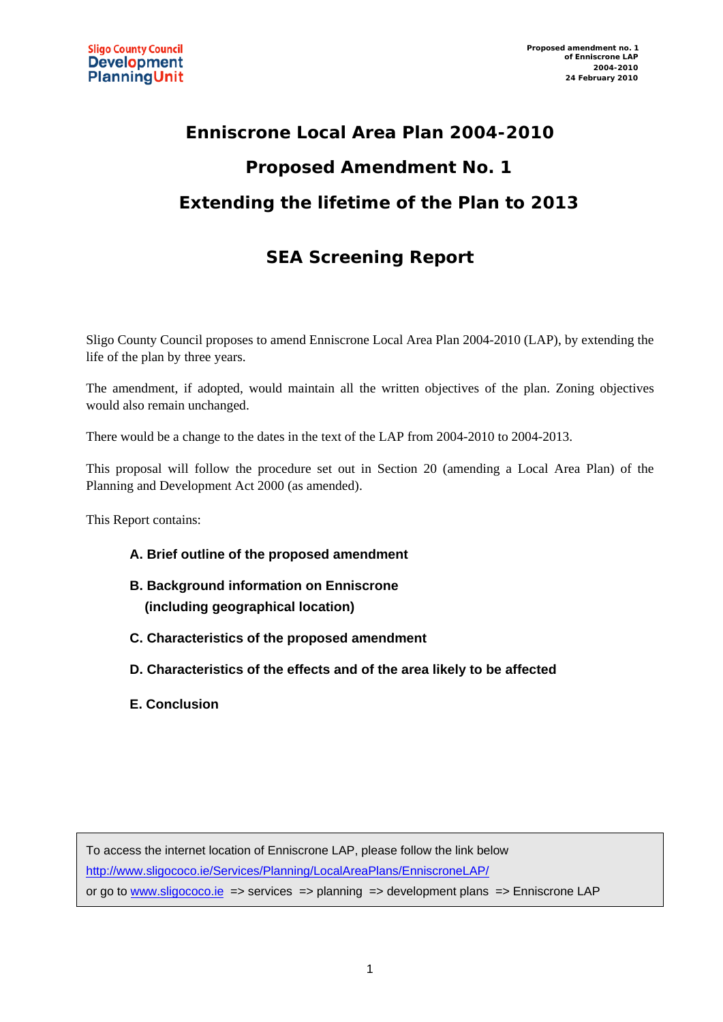## **Enniscrone Local Area Plan 2004-2010 Proposed Amendment No. 1 Extending the lifetime of the Plan to 2013**

### **SEA Screening Report**

Sligo County Council proposes to amend Enniscrone Local Area Plan 2004-2010 (LAP), by extending the life of the plan by three years.

The amendment, if adopted, would maintain all the written objectives of the plan. Zoning objectives would also remain unchanged.

There would be a change to the dates in the text of the LAP from 2004-2010 to 2004-2013.

This proposal will follow the procedure set out in Section 20 (amending a Local Area Plan) of the Planning and Development Act 2000 (as amended).

This Report contains:

- **A. Brief outline of the proposed amendment**
- **B. Background information on Enniscrone (including geographical location)**
- **C. Characteristics of the proposed amendment**
- **D. Characteristics of the effects and of the area likely to be affected**
- **E. Conclusion**

To access the internet location of Enniscrone LAP, please follow the link below <http://www.sligococo.ie/Services/Planning/LocalAreaPlans/EnniscroneLAP/> or go to [www.sligococo.ie](http://www.sligococo.ie/) => services => planning => development plans => Enniscrone LAP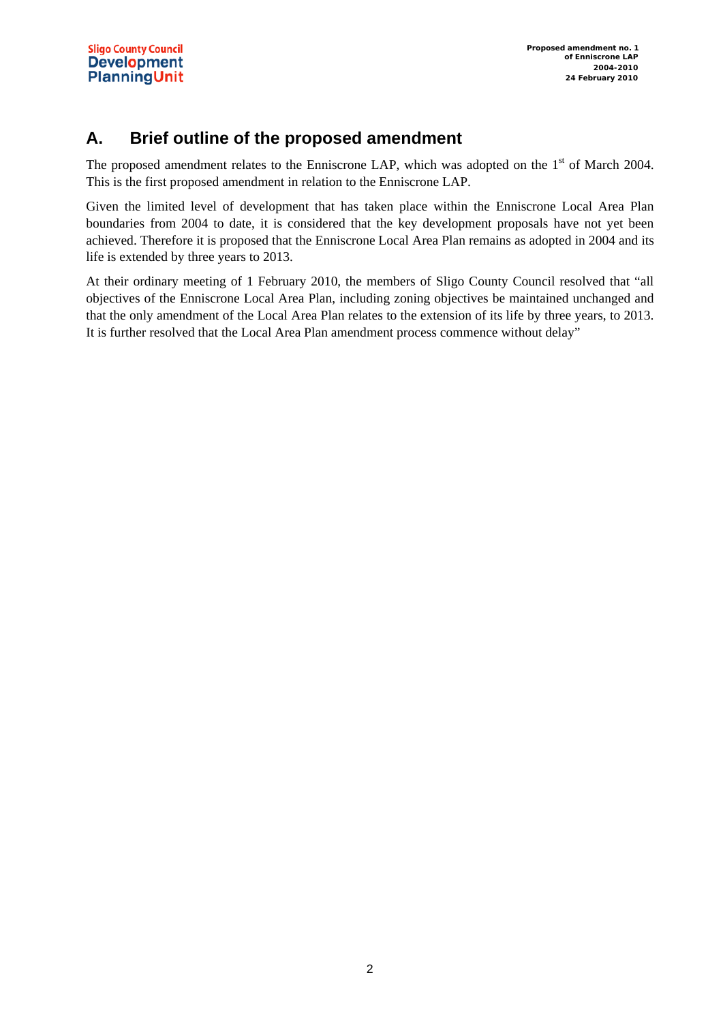#### **A. Brief outline of the proposed amendment**

The proposed amendment relates to the Enniscrone LAP, which was adopted on the 1<sup>st</sup> of March 2004. This is the first proposed amendment in relation to the Enniscrone LAP.

Given the limited level of development that has taken place within the Enniscrone Local Area Plan boundaries from 2004 to date, it is considered that the key development proposals have not yet been achieved. Therefore it is proposed that the Enniscrone Local Area Plan remains as adopted in 2004 and its life is extended by three years to 2013.

At their ordinary meeting of 1 February 2010, the members of Sligo County Council resolved that "all objectives of the Enniscrone Local Area Plan, including zoning objectives be maintained unchanged and that the only amendment of the Local Area Plan relates to the extension of its life by three years, to 2013. It is further resolved that the Local Area Plan amendment process commence without delay"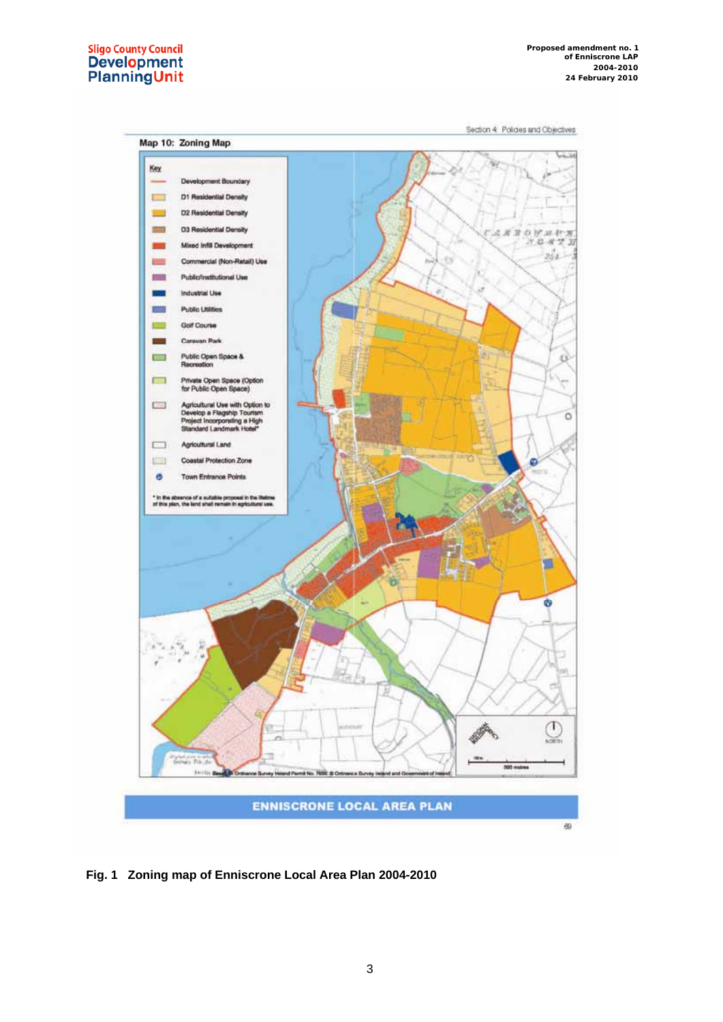# Sligo County Council<br>Development<br>PlanningUnit

Section 4 Policies and Objectives



**Fig. 1 Zoning map of Enniscrone Local Area Plan 2004-2010**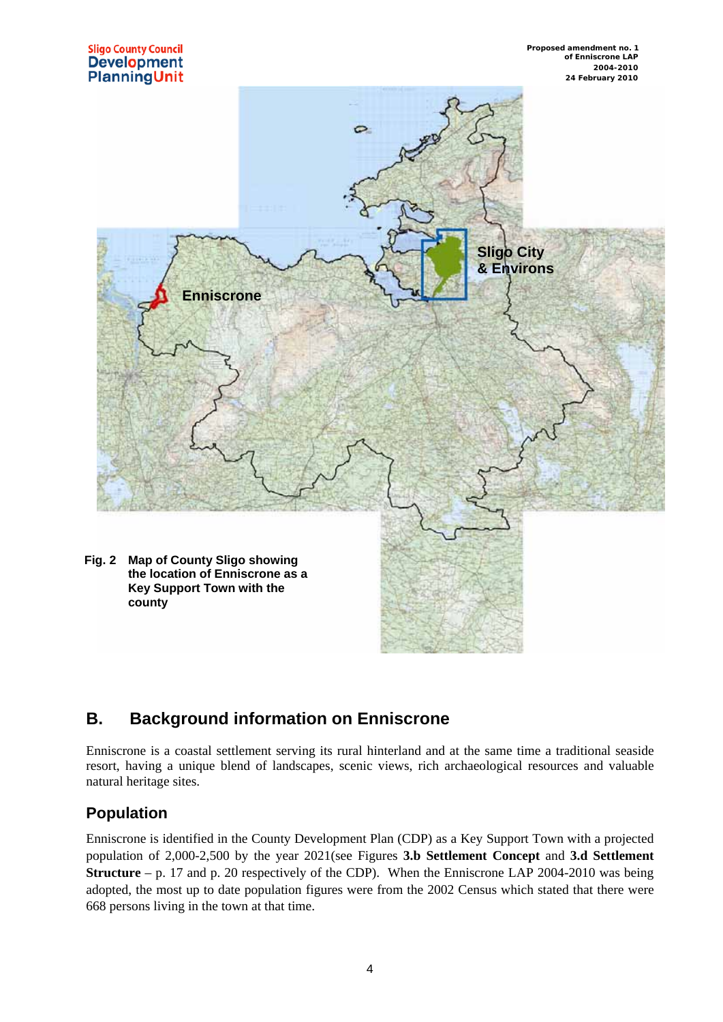

#### **B. Background information on Enniscrone**

Enniscrone is a coastal settlement serving its rural hinterland and at the same time a traditional seaside resort, having a unique blend of landscapes, scenic views, rich archaeological resources and valuable natural heritage sites.

#### **Population**

Enniscrone is identified in the County Development Plan (CDP) as a Key Support Town with a projected population of 2,000-2,500 by the year 2021(see Figures **3.b Settlement Concept** and **3.d Settlement Structure** – p. 17 and p. 20 respectively of the CDP). When the Enniscrone LAP 2004-2010 was being adopted, the most up to date population figures were from the 2002 Census which stated that there were 668 persons living in the town at that time.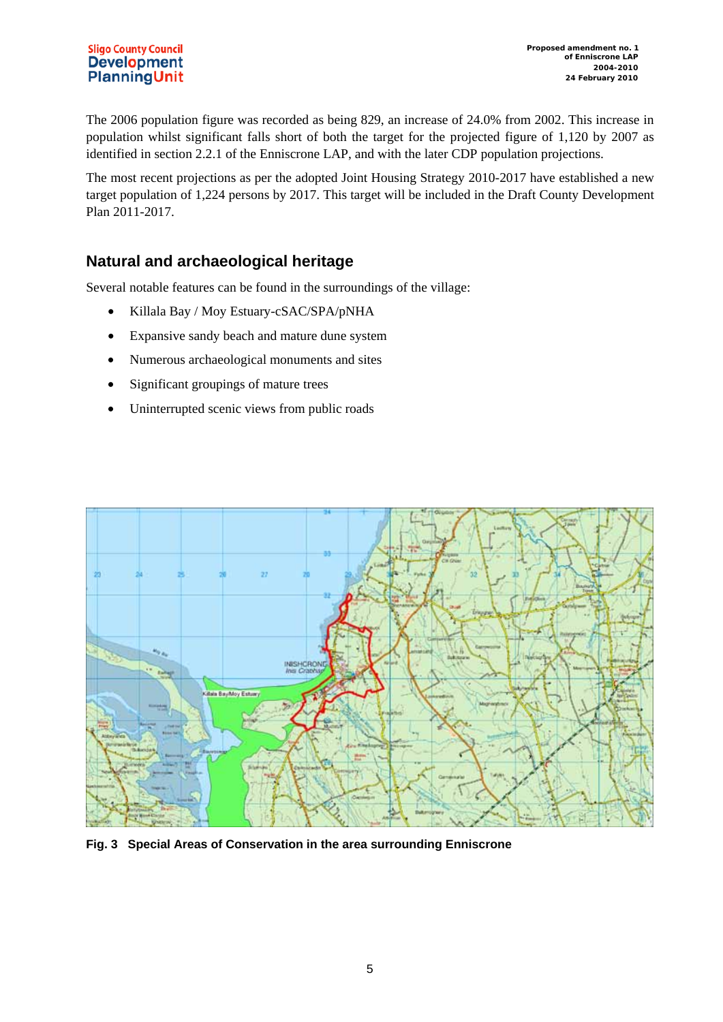The 2006 population figure was recorded as being 829, an increase of 24.0% from 2002. This increase in population whilst significant falls short of both the target for the projected figure of 1,120 by 2007 as identified in section 2.2.1 of the Enniscrone LAP, and with the later CDP population projections.

The most recent projections as per the adopted Joint Housing Strategy 2010-2017 have established a new target population of 1,224 persons by 2017. This target will be included in the Draft County Development Plan 2011-2017.

#### **Natural and archaeological heritage**

Several notable features can be found in the surroundings of the village:

- Killala Bay / Moy Estuary-cSAC/SPA/pNHA
- Expansive sandy beach and mature dune system
- Numerous archaeological monuments and sites
- Significant groupings of mature trees
- Uninterrupted scenic views from public roads



**Fig. 3 Special Areas of Conservation in the area surrounding Enniscrone**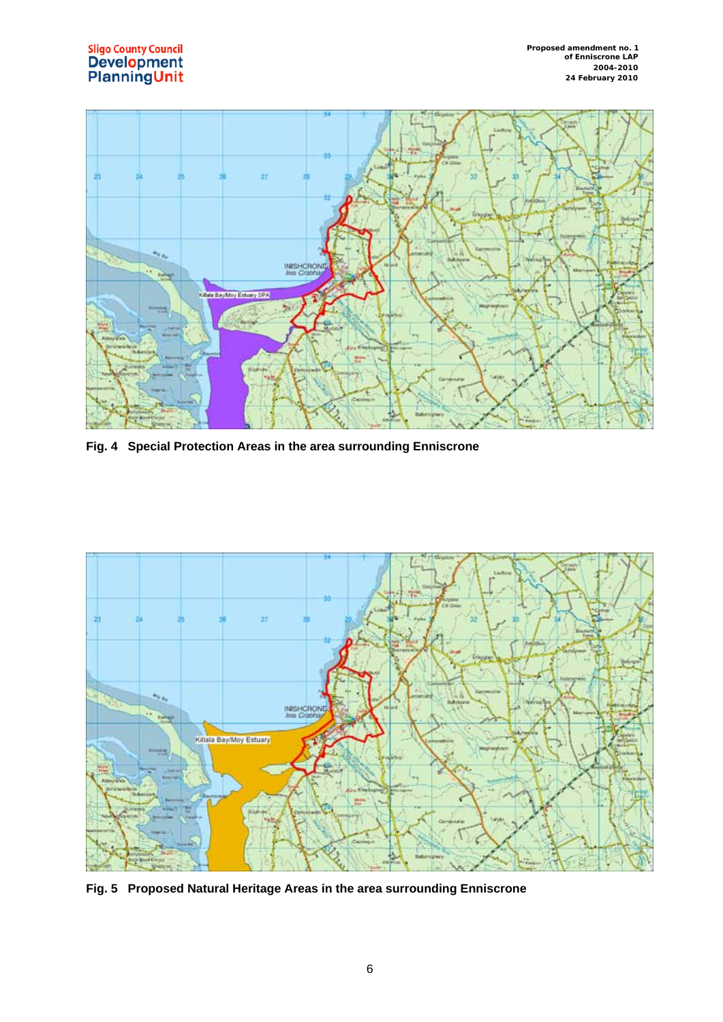



**Fig. 4 Special Protection Areas in the area surrounding Enniscrone** 



**Fig. 5 Proposed Natural Heritage Areas in the area surrounding Enniscrone**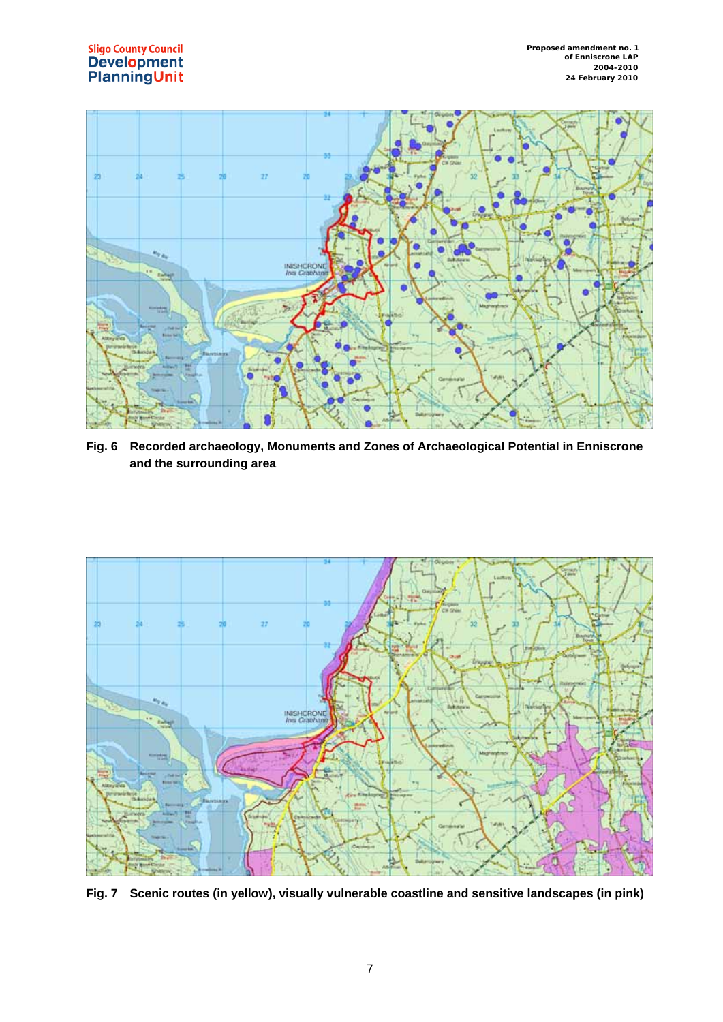

**Fig. 6 Recorded archaeology, Monuments and Zones of Archaeological Potential in Enniscrone and the surrounding area** 



**Fig. 7 Scenic routes (in yellow), visually vulnerable coastline and sensitive landscapes (in pink)**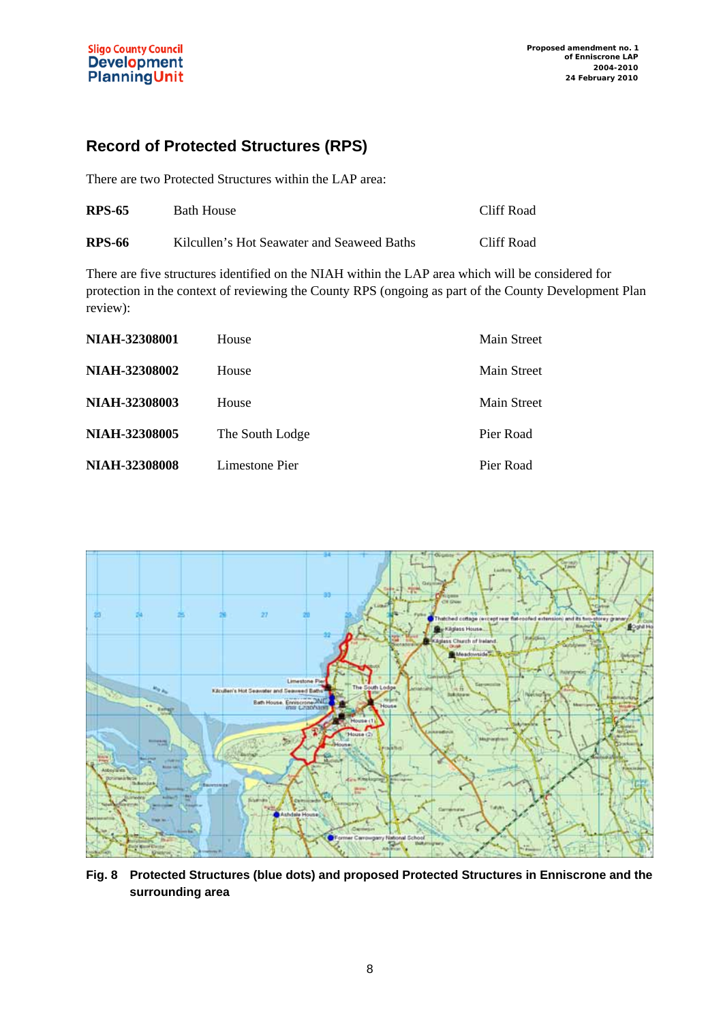#### **Record of Protected Structures (RPS)**

There are two Protected Structures within the LAP area:

| <b>RPS-65</b> | Bath House                                 | Cliff Road |
|---------------|--------------------------------------------|------------|
| <b>RPS-66</b> | Kilcullen's Hot Seawater and Seaweed Baths | Cliff Road |

There are five structures identified on the NIAH within the LAP area which will be considered for protection in the context of reviewing the County RPS (ongoing as part of the County Development Plan review):

| NIAH-32308001        | House           | Main Street |
|----------------------|-----------------|-------------|
| <b>NIAH-32308002</b> | House           | Main Street |
| NIAH-32308003        | House           | Main Street |
| <b>NIAH-32308005</b> | The South Lodge | Pier Road   |
| <b>NIAH-32308008</b> | Limestone Pier  | Pier Road   |



**Fig. 8 Protected Structures (blue dots) and proposed Protected Structures in Enniscrone and the surrounding area**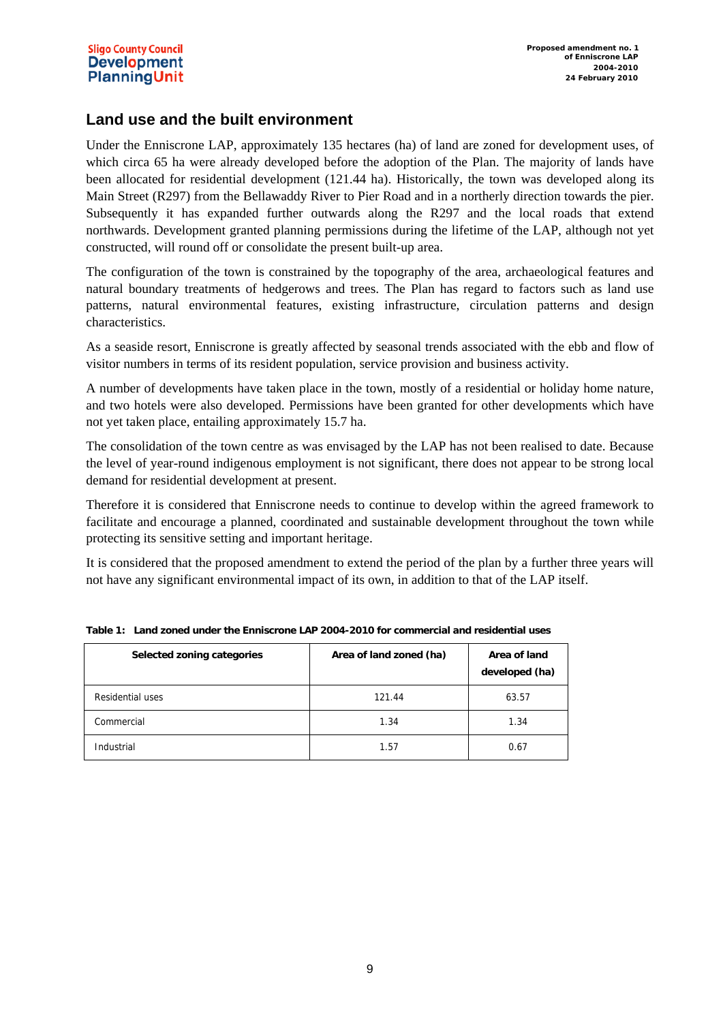#### **Sligo County Council Development PlanningUnit**

#### **Land use and the built environment**

Under the Enniscrone LAP, approximately 135 hectares (ha) of land are zoned for development uses, of which circa 65 ha were already developed before the adoption of the Plan. The majority of lands have been allocated for residential development (121.44 ha). Historically, the town was developed along its Main Street (R297) from the Bellawaddy River to Pier Road and in a northerly direction towards the pier. Subsequently it has expanded further outwards along the R297 and the local roads that extend northwards. Development granted planning permissions during the lifetime of the LAP, although not yet constructed, will round off or consolidate the present built-up area.

The configuration of the town is constrained by the topography of the area, archaeological features and natural boundary treatments of hedgerows and trees. The Plan has regard to factors such as land use patterns, natural environmental features, existing infrastructure, circulation patterns and design characteristics.

As a seaside resort, Enniscrone is greatly affected by seasonal trends associated with the ebb and flow of visitor numbers in terms of its resident population, service provision and business activity.

A number of developments have taken place in the town, mostly of a residential or holiday home nature, and two hotels were also developed. Permissions have been granted for other developments which have not yet taken place, entailing approximately 15.7 ha.

The consolidation of the town centre as was envisaged by the LAP has not been realised to date. Because the level of year-round indigenous employment is not significant, there does not appear to be strong local demand for residential development at present.

Therefore it is considered that Enniscrone needs to continue to develop within the agreed framework to facilitate and encourage a planned, coordinated and sustainable development throughout the town while protecting its sensitive setting and important heritage.

It is considered that the proposed amendment to extend the period of the plan by a further three years will not have any significant environmental impact of its own, in addition to that of the LAP itself.

| Selected zoning categories | Area of land zoned (ha) | Area of land<br>developed (ha) |
|----------------------------|-------------------------|--------------------------------|
| Residential uses           | 121.44                  | 63.57                          |
| Commercial                 | 1.34                    | 1.34                           |
| Industrial                 | 1.57                    | 0.67                           |

**Table 1: Land zoned under the Enniscrone LAP 2004-2010 for commercial and residential uses**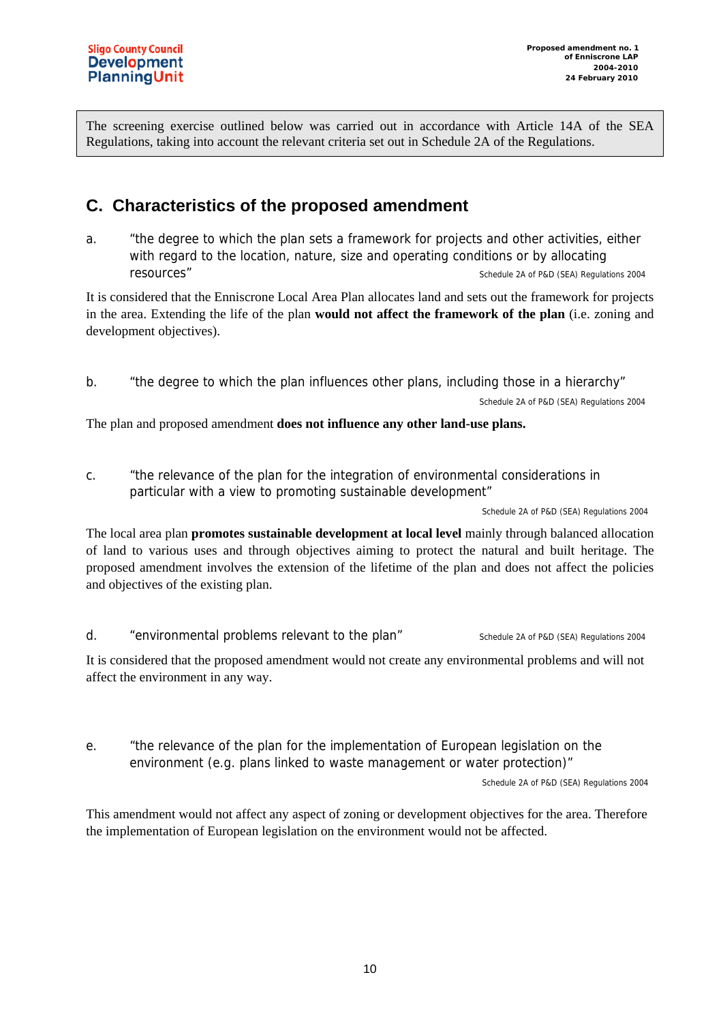The screening exercise outlined below was carried out in accordance with Article 14A of the SEA Regulations, taking into account the relevant criteria set out in Schedule 2A of the Regulations.

#### **C. Characteristics of the proposed amendment**

a. "the degree to which the plan sets a framework for projects and other activities, either with regard to the location, nature, size and operating conditions or by allocating **resources"** Schedule 2A of P&D (SEA) Regulations 2004

It is considered that the Enniscrone Local Area Plan allocates land and sets out the framework for projects in the area. Extending the life of the plan **would not affect the framework of the plan** (i.e. zoning and development objectives).

b. "the degree to which the plan influences other plans, including those in a hierarchy"

Schedule 2A of P&D (SEA) Regulations 2004

The plan and proposed amendment **does not influence any other land-use plans.**

c. "the relevance of the plan for the integration of environmental considerations in particular with a view to promoting sustainable development"

Schedule 2A of P&D (SEA) Regulations 2004

The local area plan **promotes sustainable development at local level** mainly through balanced allocation of land to various uses and through objectives aiming to protect the natural and built heritage. The proposed amendment involves the extension of the lifetime of the plan and does not affect the policies and objectives of the existing plan.

d. "environmental problems relevant to the plan" Schedule 2A of P&D (SEA) Regulations 2004

It is considered that the proposed amendment would not create any environmental problems and will not affect the environment in any way.

e. "the relevance of the plan for the implementation of European legislation on the environment (e.g. plans linked to waste management or water protection)"

Schedule 2A of P&D (SEA) Regulations 2004

This amendment would not affect any aspect of zoning or development objectives for the area. Therefore the implementation of European legislation on the environment would not be affected.